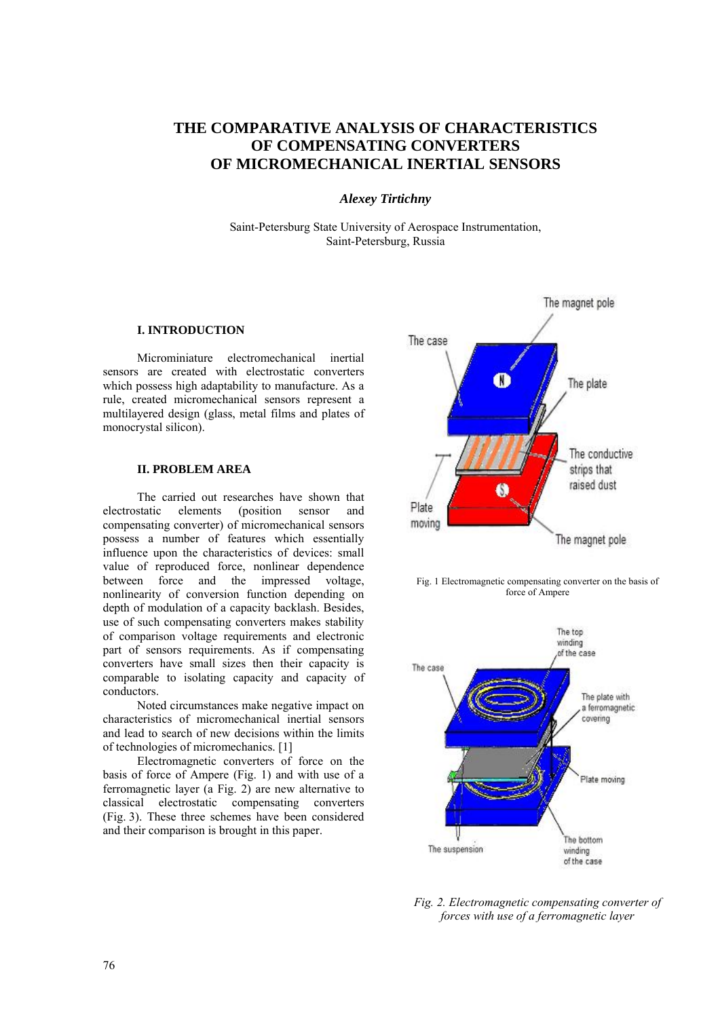# **THE COMPARATIVE ANALYSIS OF CHARACTERISTICS OF COMPENSATING CONVERTERS OF MICROMECHANICAL INERTIAL SENSORS**

## *Alexey Tirtichny*

Saint-Petersburg State University of Aerospace Instrumentation, Saint-Petersburg, Russia

## **I. INTRODUCTION**

Microminiature electromechanical inertial sensors are created with electrostatic converters which possess high adaptability to manufacture. As a rule, created micromechanical sensors represent a multilayered design (glass, metal films and plates of monocrystal silicon).

# **II. PROBLEM AREA**

The carried out researches have shown that electrostatic elements (position sensor and compensating converter) of micromechanical sensors possess a number of features which essentially influence upon the characteristics of devices: small value of reproduced force, nonlinear dependence between force and the impressed voltage, nonlinearity of conversion function depending on depth of modulation of a capacity backlash. Besides, use of such compensating converters makes stability of comparison voltage requirements and electronic part of sensors requirements. As if compensating converters have small sizes then their capacity is comparable to isolating capacity and capacity of conductors.

Noted circumstances make negative impact on characteristics of micromechanical inertial sensors and lead to search of new decisions within the limits of technologies of micromechanics. [1]

Electromagnetic converters of force on the basis of force of Ampere (Fig. 1) and with use of a ferromagnetic layer (a Fig. 2) are new alternative to classical electrostatic compensating converters (Fig. 3). These three schemes have been considered and their comparison is brought in this paper.



Fig. 1 Electromagnetic compensating converter on the basis of force of Ampere



*Fig. 2. Electromagnetic compensating converter of forces with use of a ferromagnetic layer*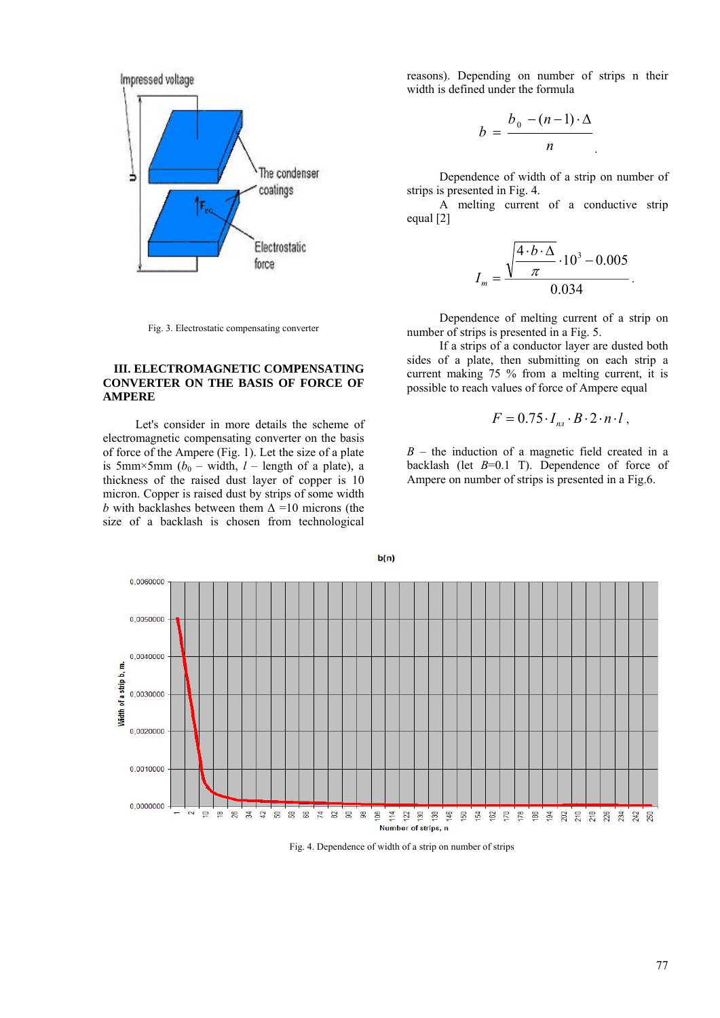

reasons). Depending on number of strips n their width is defined under the formula

$$
b=\frac{b_{0}-(n-1)\cdot\Delta}{n}
$$

.

Dependence of width of a strip on number of strips is presented in Fig. 4.

A melting current of a conductive strip equal [2]

$$
I_m = \frac{\sqrt{\frac{4 \cdot b \cdot \Delta}{\pi}} \cdot 10^3 - 0.005}{0.034}.
$$

Dependence of melting current of a strip on number of strips is presented in a Fig. 5.

If a strips of a conductor layer are dusted both sides of a plate, then submitting on each strip a current making 75 % from a melting current, it is possible to reach values of force of Ampere equal

$$
F=0.75\cdot I_{nn}\cdot B\cdot 2\cdot n\cdot l\,,
$$

 $B$  – the induction of a magnetic field created in a backlash (let *B*=0.1 T). Dependence of force of Ampere on number of strips is presented in a Fig.6.



Fig. 4. Dependence of width of a strip on number of strips

Fig. 3. Electrostatic compensating converter

## **III. ELECTROMAGNETIC COMPENSATING CONVERTER ON THE BASIS OF FORCE OF AMPERE**

Let's consider in more details the scheme of electromagnetic compensating converter on the basis of force of the Ampere (Fig. 1). Let the size of a plate is 5mm×5mm ( $b_0$  – width,  $l$  – length of a plate), a thickness of the raised dust layer of copper is 10 micron. Copper is raised dust by strips of some width *b* with backlashes between them  $\Delta = 10$  microns (the size of a backlash is chosen from technological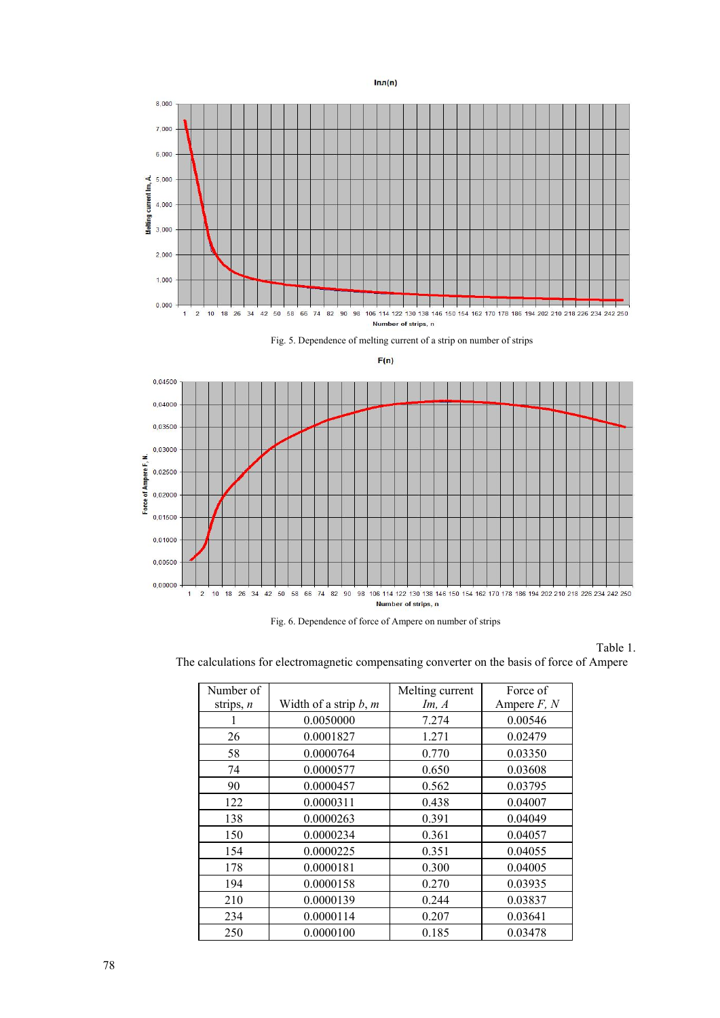

Fig. 6. Dependence of force of Ampere on number of strips

Table 1.



| Number of   |                         | Melting current | Force of      |
|-------------|-------------------------|-----------------|---------------|
| strips, $n$ | Width of a strip $b, m$ | Im, A           | Ampere $F, N$ |
|             | 0.0050000               | 7.274           | 0.00546       |
| 26          | 0.0001827               | 1.271           | 0.02479       |
| 58          | 0.0000764               | 0.770           | 0.03350       |
| 74          | 0.0000577               | 0.650           | 0.03608       |
| 90          | 0.0000457               | 0.562           | 0.03795       |
| 122         | 0.0000311               | 0.438           | 0.04007       |
| 138         | 0.0000263               | 0.391           | 0.04049       |
| 150         | 0.0000234               | 0.361           | 0.04057       |
| 154         | 0.0000225               | 0.351           | 0.04055       |
| 178         | 0.0000181               | 0.300           | 0.04005       |
| 194         | 0.0000158               | 0.270           | 0.03935       |
| 210         | 0.0000139               | 0.244           | 0.03837       |
| 234         | 0.0000114               | 0.207           | 0.03641       |
| 250         | 0.0000100               | 0.185           | 0.03478       |

78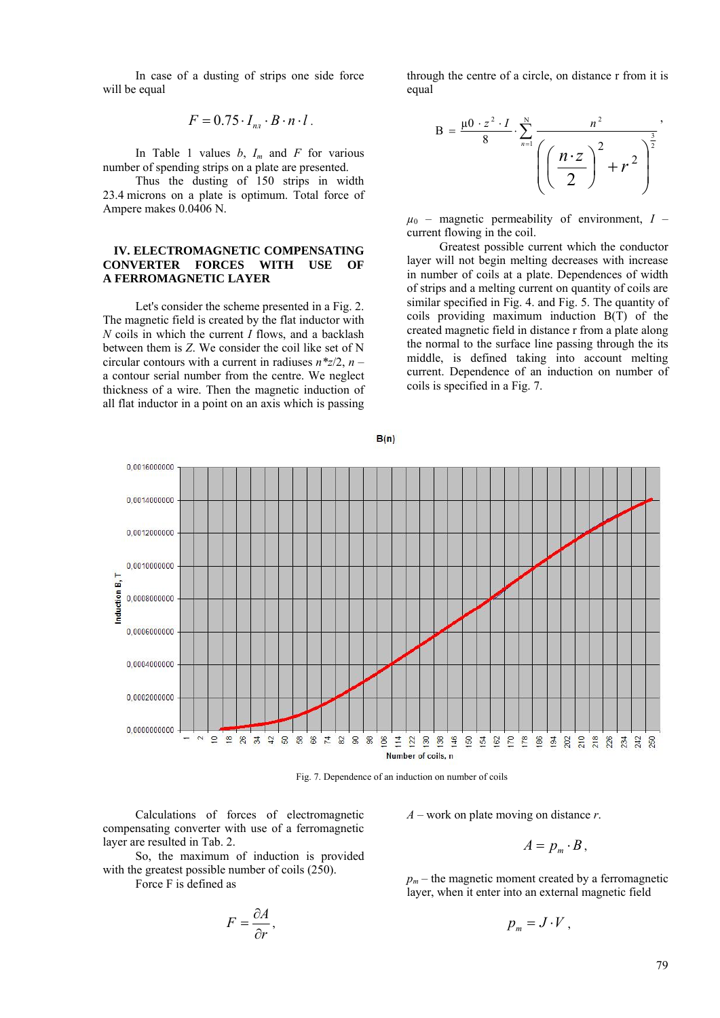In case of a dusting of strips one side force will be equal

through the centre of a circle, on distance r from it is equal

$$
F=0.75\cdot I_{nn}\cdot B\cdot n\cdot l.
$$

In Table 1 values  $b$ ,  $I_m$  and  $F$  for various number of spending strips on a plate are presented.

Thus the dusting of 150 strips in width 23.4 microns on a plate is optimum. Total force of Ampere makes 0.0406 N.

#### **IV. ELECTROMAGNETIC COMPENSATING CONVERTER FORCES WITH USE OF A FERROMAGNETIC LAYER**

Let's consider the scheme presented in a Fig. 2. The magnetic field is created by the flat inductor with *N* coils in which the current *I* flows, and a backlash between them is *Z*. We consider the coil like set of N circular contours with a current in radiuses  $n \times z/2$ ,  $n$ a contour serial number from the centre. We neglect thickness of a wire. Then the magnetic induction of all flat inductor in a point on an axis which is passing

$$
B = \frac{\mu 0 \cdot z^2 \cdot I}{8} \cdot \sum_{n=1}^{N} \frac{n^2}{\left(\left(\frac{n \cdot z}{2}\right)^2 + r^2\right)^{\frac{3}{2}}},
$$

 $\mu_0$  – magnetic permeability of environment,  $I$  – current flowing in the coil.

Greatest possible current which the conductor layer will not begin melting decreases with increase in number of coils at a plate. Dependences of width of strips and a melting current on quantity of coils are similar specified in Fig. 4. and Fig. 5. The quantity of coils providing maximum induction B(T) of the created magnetic field in distance r from a plate along the normal to the surface line passing through the its middle, is defined taking into account melting current. Dependence of an induction on number of coils is specified in a Fig. 7.



Calculations of forces of electromagnetic compensating converter with use of a ferromagnetic layer are resulted in Tab. 2.

So, the maximum of induction is provided with the greatest possible number of coils  $(250)$ .

Force F is defined as

$$
F=\frac{\partial A}{\partial r},
$$

*A* – work on plate moving on distance *r*.

$$
A=p_m\cdot B,
$$

 $p_m$  – the magnetic moment created by a ferromagnetic layer, when it enter into an external magnetic field

$$
p_m = J \cdot V \,,
$$

79